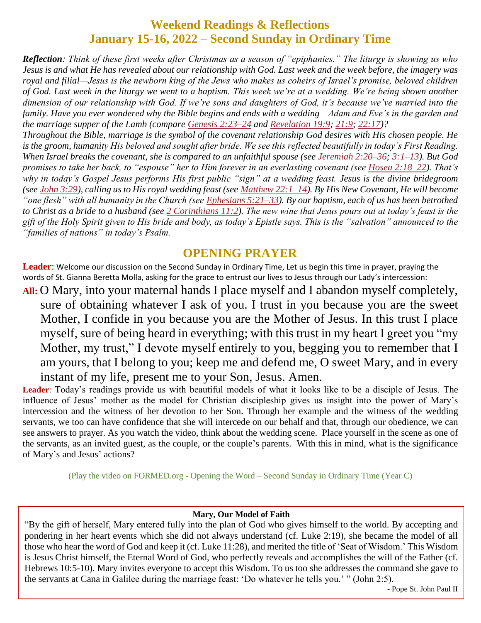## **Weekend Readings & Reflections January 15-16, 2022 – Second Sunday in Ordinary Time**

*Reflection: Think of these first weeks after Christmas as a season of "epiphanies." The liturgy is showing us who Jesus is and what He has revealed about our relationship with God. Last week and the week before, the imagery was*  royal and filial—Jesus is the newborn king of the Jews who makes us coheirs of Israel's promise, beloved children *of God. Last week in the liturgy we went to a baptism. This week we're at a wedding. We're being shown another dimension of our relationship with God. If we're sons and daughters of God, it's because we've married into the family. Have you ever wondered why the Bible begins and ends with a wedding—Adam and Eve's in the garden and the marriage supper of the Lamb (compare Genesis [2:23–24](https://biblia.com/bible/rsvce/Gen%202.23%E2%80%9324) and [Revelation](https://biblia.com/bible/rsvce/Rev%2019.9) 19:9; [21:9;](https://biblia.com/bible/rsvce/Revelation%2021.9) [22:17\)](https://biblia.com/bible/rsvce/Revelation%2022.17)?*

*Throughout the Bible, marriage is the symbol of the covenant relationship God desires with His chosen people. He is the groom, humanity His beloved and sought after bride. We see this reflected beautifully in today's First Reading. When Israel breaks the covenant, she is compared to an unfaithful spouse (see [Jeremiah](https://biblia.com/bible/rsvce/Jer%202.20%E2%80%9336) 2:20–36; [3:1–13\)](https://biblia.com/bible/rsvce/Jeremiah%203.1%E2%80%9313). But God promises to take her back, to "espouse" her to Him forever in an everlasting covenant (see Hosea [2:18–22\)](https://biblia.com/bible/rsvce/Hos%202.18%E2%80%9322). That's why in today's Gospel Jesus performs His first public "sign" at a wedding feast. Jesus is the divine bridegroom (see John [3:29\)](https://biblia.com/bible/rsvce/John%203.29), calling us to His royal wedding feast (see Matthew [22:1–14\)](https://biblia.com/bible/rsvce/Matt%2022.1%E2%80%9314). By His New Covenant, He will become "one flesh" with all humanity in the Church (see [Ephesians](https://biblia.com/bible/rsvce/Eph%205.21%E2%80%9333) 5:21–33). By our baptism, each of us has been betrothed to Christ as a bride to a husband (see 2 [Corinthians](https://biblia.com/bible/rsvce/2%20Cor%2011.2) 11:2). The new wine that Jesus pours out at today's feast is the gift of the Holy Spirit given to His bride and body, as today's Epistle says. This is the "salvation" announced to the "families of nations" in today's Psalm.*

## **OPENING PRAYER**

**Leader**: Welcome our discussion on the Second Sunday in Ordinary Time, Let us begin this time in prayer, praying the words of St. Gianna Beretta Molla, asking for the grace to entrust our lives to Jesus through our Lady's intercession:

**All:** O Mary, into your maternal hands I place myself and I abandon myself completely, sure of obtaining whatever I ask of you. I trust in you because you are the sweet Mother, I confide in you because you are the Mother of Jesus. In this trust I place myself, sure of being heard in everything; with this trust in my heart I greet you "my Mother, my trust," I devote myself entirely to you, begging you to remember that I am yours, that I belong to you; keep me and defend me, O sweet Mary, and in every instant of my life, present me to your Son, Jesus. Amen.

**Leader**: Today's readings provide us with beautiful models of what it looks like to be a disciple of Jesus. The influence of Jesus' mother as the model for Christian discipleship gives us insight into the power of Mary's intercession and the witness of her devotion to her Son. Through her example and the witness of the wedding servants, we too can have confidence that she will intercede on our behalf and that, through our obedience, we can see answers to prayer. As you watch the video, think about the wedding scene. Place yourself in the scene as one of the servants, as an invited guest, as the couple, or the couple's parents. With this in mind, what is the significance of Mary's and Jesus' actions?

(Play the video on FORMED.org - Opening the Word – [Second Sunday in Ordinary Time](https://watch.formed.org/opening-the-word-1/season:3/videos/2nd-sunday-in-ordinary-time-january-20-2019) (Year C)

#### **Mary, Our Model of Faith**

"By the gift of herself, Mary entered fully into the plan of God who gives himself to the world. By accepting and pondering in her heart events which she did not always understand (cf. Luke 2:19), she became the model of all those who hear the word of God and keep it (cf. Luke 11:28), and merited the title of 'Seat of Wisdom.' This Wisdom is Jesus Christ himself, the Eternal Word of God, who perfectly reveals and accomplishes the will of the Father (cf. Hebrews 10:5-10). Mary invites everyone to accept this Wisdom. To us too she addresses the command she gave to the servants at Cana in Galilee during the marriage feast: 'Do whatever he tells you.' " (John 2:5).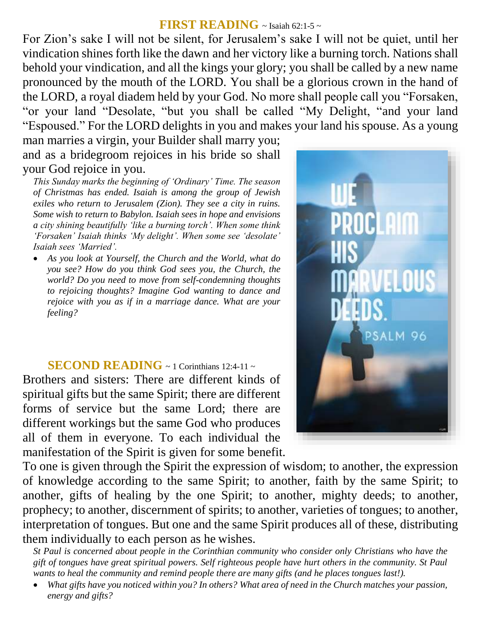#### **FIRST READING** ~ Isaiah 62:1-5 ~

For Zion's sake I will not be silent, for Jerusalem's sake I will not be quiet, until her vindication shines forth like the dawn and her victory like a burning torch. Nations shall behold your vindication, and all the kings your glory; you shall be called by a new name pronounced by the mouth of the LORD. You shall be a glorious crown in the hand of the LORD, a royal diadem held by your God. No more shall people call you "Forsaken, "or your land "Desolate, "but you shall be called "My Delight, "and your land "Espoused." For the LORD delights in you and makes your land his spouse. As a young

man marries a virgin, your Builder shall marry you; and as a bridegroom rejoices in his bride so shall your God rejoice in you.

*This Sunday marks the beginning of 'Ordinary' Time. The season of Christmas has ended. Isaiah is among the group of Jewish exiles who return to Jerusalem (Zion). They see a city in ruins. Some wish to return to Babylon. Isaiah sees in hope and envisions a city shining beautifully 'like a burning torch'. When some think 'Forsaken' Isaiah thinks 'My delight'. When some see 'desolate' Isaiah sees 'Married'.* 

 *As you look at Yourself, the Church and the World, what do you see? How do you think God sees you, the Church, the world? Do you need to move from self-condemning thoughts to rejoicing thoughts? Imagine God wanting to dance and rejoice with you as if in a marriage dance. What are your feeling?*

### **SECOND READING** ~ 1 Corinthians 12:4-11 ~

Brothers and sisters: There are different kinds of spiritual gifts but the same Spirit; there are different forms of service but the same Lord; there are different workings but the same God who produces all of them in everyone. To each individual the manifestation of the Spirit is given for some benefit.

To one is given through the Spirit the expression of wisdom; to another, the expression of knowledge according to the same Spirit; to another, faith by the same Spirit; to another, gifts of healing by the one Spirit; to another, mighty deeds; to another, prophecy; to another, discernment of spirits; to another, varieties of tongues; to another, interpretation of tongues. But one and the same Spirit produces all of these, distributing them individually to each person as he wishes.

*St Paul is concerned about people in the Corinthian community who consider only Christians who have the gift of tongues have great spiritual powers. Self righteous people have hurt others in the community. St Paul wants to heal the community and remind people there are many gifts (and he places tongues last!).* 

 *What gifts have you noticed within you? In others? What area of need in the Church matches your passion, energy and gifts?*

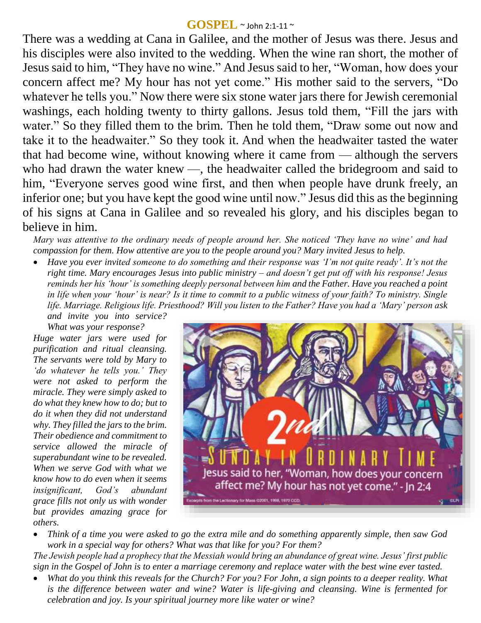#### **GOSPEL** ~ John 2:1-11 <sup>~</sup>

There was a wedding at Cana in Galilee, and the mother of Jesus was there. Jesus and his disciples were also invited to the wedding. When the wine ran short, the mother of Jesus said to him, "They have no wine." And Jesus said to her, "Woman, how does your concern affect me? My hour has not yet come." His mother said to the servers, "Do whatever he tells you." Now there were six stone water jars there for Jewish ceremonial washings, each holding twenty to thirty gallons. Jesus told them, "Fill the jars with water." So they filled them to the brim. Then he told them, "Draw some out now and take it to the headwaiter." So they took it. And when the headwaiter tasted the water that had become wine, without knowing where it came from — although the servers who had drawn the water knew —, the headwaiter called the bridegroom and said to him, "Everyone serves good wine first, and then when people have drunk freely, an inferior one; but you have kept the good wine until now." Jesus did this as the beginning of his signs at Cana in Galilee and so revealed his glory, and his disciples began to believe in him.

*Mary was attentive to the ordinary needs of people around her. She noticed 'They have no wine' and had compassion for them. How attentive are you to the people around you? Mary invited Jesus to help.* 

 *Have you ever invited someone to do something and their response was 'I'm not quite ready'. It's not the right time. Mary encourages Jesus into public ministry – and doesn't get put off with his response! Jesus reminds her his 'hour' is something deeply personal between him and the Father. Have you reached a point in life when your 'hour' is near? Is it time to commit to a public witness of your faith? To ministry. Single life. Marriage. Religious life. Priesthood? Will you listen to the Father? Have you had a 'Mary' person ask* 

*and invite you into service? What was your response?*

*Huge water jars were used for purification and ritual cleansing. The servants were told by Mary to 'do whatever he tells you.' They were not asked to perform the miracle. They were simply asked to do what they knew how to do; but to do it when they did not understand why. They filled the jars to the brim. Their obedience and commitment to service allowed the miracle of superabundant wine to be revealed. When we serve God with what we know how to do even when it seems insignificant, God's abundant grace fills not only us with wonder but provides amazing grace for others.* 



 *Think of a time you were asked to go the extra mile and do something apparently simple, then saw God work in a special way for others? What was that like for you? For them?*

*The Jewish people had a prophecy that the Messiah would bring an abundance of great wine. Jesus' first public sign in the Gospel of John is to enter a marriage ceremony and replace water with the best wine ever tasted.* 

 *What do you think this reveals for the Church? For you? For John, a sign points to a deeper reality. What is the difference between water and wine? Water is life-giving and cleansing. Wine is fermented for celebration and joy. Is your spiritual journey more like water or wine?*